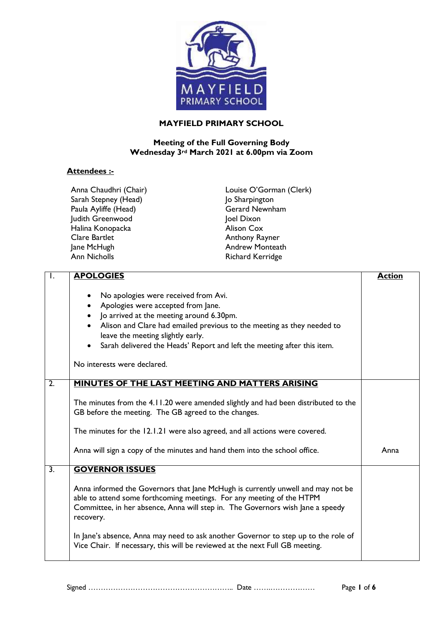

## **MAYFIELD PRIMARY SCHOOL**

## **Meeting of the Full Governing Body Wednesday 3rd March 2021 at 6.00pm via Zoom**

## **Attendees :-**

| Anna Chaudhri (Chair) |
|-----------------------|
| Sarah Stepney (Head)  |
| Paula Ayliffe (Head)  |
| Judith Greenwood      |
| Halina Konopacka      |
| Clare Bartlet         |
| Jane McHugh           |
| <b>Ann Nicholls</b>   |

Louise O'Gorman (Clerk) Jo Sharpington Gerard Newnham Joel Dixon Alison Cox Anthony Rayner Andrew Monteath Richard Kerridge

| Ι.               | <b>APOLOGIES</b>                                                                                                                                                                                                                                                                                                                                                            | <b>Action</b> |
|------------------|-----------------------------------------------------------------------------------------------------------------------------------------------------------------------------------------------------------------------------------------------------------------------------------------------------------------------------------------------------------------------------|---------------|
|                  | No apologies were received from Avi.<br>$\bullet$<br>Apologies were accepted from Jane.<br>• Jo arrived at the meeting around 6.30pm.<br>Alison and Clare had emailed previous to the meeting as they needed to<br>$\bullet$<br>leave the meeting slightly early.<br>Sarah delivered the Heads' Report and left the meeting after this item.<br>No interests were declared. |               |
| $\overline{2}$ . | <b>MINUTES OF THE LAST MEETING AND MATTERS ARISING</b>                                                                                                                                                                                                                                                                                                                      |               |
|                  | The minutes from the 4.11.20 were amended slightly and had been distributed to the<br>GB before the meeting. The GB agreed to the changes.                                                                                                                                                                                                                                  |               |
|                  | The minutes for the 12.1.21 were also agreed, and all actions were covered.                                                                                                                                                                                                                                                                                                 |               |
|                  | Anna will sign a copy of the minutes and hand them into the school office.                                                                                                                                                                                                                                                                                                  | Anna          |
| $\overline{3}$ . | <b>GOVERNOR ISSUES</b>                                                                                                                                                                                                                                                                                                                                                      |               |
|                  | Anna informed the Governors that Jane McHugh is currently unwell and may not be<br>able to attend some forthcoming meetings. For any meeting of the HTPM<br>Committee, in her absence, Anna will step in. The Governors wish Jane a speedy<br>recovery.                                                                                                                     |               |
|                  | In Jane's absence, Anna may need to ask another Governor to step up to the role of<br>Vice Chair. If necessary, this will be reviewed at the next Full GB meeting.                                                                                                                                                                                                          |               |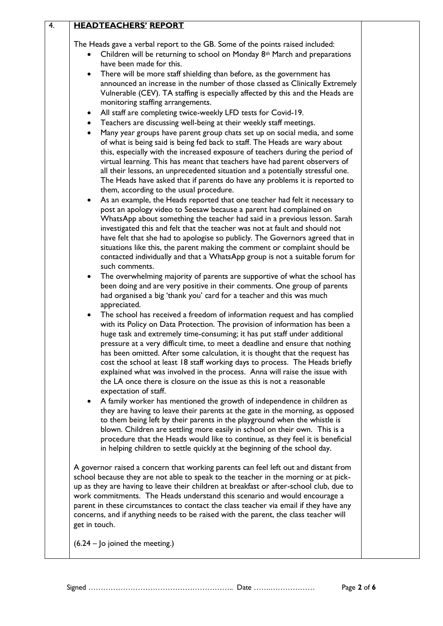| The Heads gave a verbal report to the GB. Some of the points raised included:<br>Children will be returning to school on Monday 8 <sup>th</sup> March and preparations<br>have been made for this.<br>There will be more staff shielding than before, as the government has<br>announced an increase in the number of those classed as Clinically Extremely<br>Vulnerable (CEV). TA staffing is especially affected by this and the Heads are<br>monitoring staffing arrangements.<br>All staff are completing twice-weekly LFD tests for Covid-19.<br>$\bullet$<br>Teachers are discussing well-being at their weekly staff meetings.<br>$\bullet$<br>Many year groups have parent group chats set up on social media, and some<br>$\bullet$<br>of what is being said is being fed back to staff. The Heads are wary about<br>this, especially with the increased exposure of teachers during the period of<br>virtual learning. This has meant that teachers have had parent observers of<br>all their lessons, an unprecedented situation and a potentially stressful one.<br>The Heads have asked that if parents do have any problems it is reported to<br>them, according to the usual procedure.<br>As an example, the Heads reported that one teacher had felt it necessary to<br>post an apology video to Seesaw because a parent had complained on<br>WhatsApp about something the teacher had said in a previous lesson. Sarah<br>investigated this and felt that the teacher was not at fault and should not<br>have felt that she had to apologise so publicly. The Governors agreed that in<br>situations like this, the parent making the comment or complaint should be<br>contacted individually and that a WhatsApp group is not a suitable forum for<br>such comments.<br>The overwhelming majority of parents are supportive of what the school has<br>$\bullet$<br>been doing and are very positive in their comments. One group of parents<br>had organised a big 'thank you' card for a teacher and this was much<br>appreciated.<br>The school has received a freedom of information request and has complied<br>with its Policy on Data Protection. The provision of information has been a<br>huge task and extremely time-consuming; it has put staff under additional<br>pressure at a very difficult time, to meet a deadline and ensure that nothing<br>has been omitted. After some calculation, it is thought that the request has<br>cost the school at least 18 staff working days to process. The Heads briefly<br>explained what was involved in the process. Anna will raise the issue with<br>the LA once there is closure on the issue as this is not a reasonable<br>expectation of staff.<br>A family worker has mentioned the growth of independence in children as<br>they are having to leave their parents at the gate in the morning, as opposed<br>to them being left by their parents in the playground when the whistle is<br>blown. Children are settling more easily in school on their own. This is a<br>procedure that the Heads would like to continue, as they feel it is beneficial<br>in helping children to settle quickly at the beginning of the school day.<br>A governor raised a concern that working parents can feel left out and distant from<br>school because they are not able to speak to the teacher in the morning or at pick-<br>up as they are having to leave their children at breakfast or after-school club, due to<br>work commitments. The Heads understand this scenario and would encourage a<br>parent in these circumstances to contact the class teacher via email if they have any<br>concerns, and if anything needs to be raised with the parent, the class teacher will<br>get in touch.<br>$(6.24 -$ Jo joined the meeting.) | 4. | <b>HEADTEACHERS' REPORT</b> |  |
|------------------------------------------------------------------------------------------------------------------------------------------------------------------------------------------------------------------------------------------------------------------------------------------------------------------------------------------------------------------------------------------------------------------------------------------------------------------------------------------------------------------------------------------------------------------------------------------------------------------------------------------------------------------------------------------------------------------------------------------------------------------------------------------------------------------------------------------------------------------------------------------------------------------------------------------------------------------------------------------------------------------------------------------------------------------------------------------------------------------------------------------------------------------------------------------------------------------------------------------------------------------------------------------------------------------------------------------------------------------------------------------------------------------------------------------------------------------------------------------------------------------------------------------------------------------------------------------------------------------------------------------------------------------------------------------------------------------------------------------------------------------------------------------------------------------------------------------------------------------------------------------------------------------------------------------------------------------------------------------------------------------------------------------------------------------------------------------------------------------------------------------------------------------------------------------------------------------------------------------------------------------------------------------------------------------------------------------------------------------------------------------------------------------------------------------------------------------------------------------------------------------------------------------------------------------------------------------------------------------------------------------------------------------------------------------------------------------------------------------------------------------------------------------------------------------------------------------------------------------------------------------------------------------------------------------------------------------------------------------------------------------------------------------------------------------------------------------------------------------------------------------------------------------------------------------------------------------------------------------------------------------------------------------------------------------------------------------------------------------------------------------------------------------------------------------------------------------------------------------------------------------------------------------------------------------------------------------------------------------------------------------------------------------------------------------------------------------------------------------------------------------------------------------------------------------------|----|-----------------------------|--|
|                                                                                                                                                                                                                                                                                                                                                                                                                                                                                                                                                                                                                                                                                                                                                                                                                                                                                                                                                                                                                                                                                                                                                                                                                                                                                                                                                                                                                                                                                                                                                                                                                                                                                                                                                                                                                                                                                                                                                                                                                                                                                                                                                                                                                                                                                                                                                                                                                                                                                                                                                                                                                                                                                                                                                                                                                                                                                                                                                                                                                                                                                                                                                                                                                                                                                                                                                                                                                                                                                                                                                                                                                                                                                                                                                                                                                        |    |                             |  |
|                                                                                                                                                                                                                                                                                                                                                                                                                                                                                                                                                                                                                                                                                                                                                                                                                                                                                                                                                                                                                                                                                                                                                                                                                                                                                                                                                                                                                                                                                                                                                                                                                                                                                                                                                                                                                                                                                                                                                                                                                                                                                                                                                                                                                                                                                                                                                                                                                                                                                                                                                                                                                                                                                                                                                                                                                                                                                                                                                                                                                                                                                                                                                                                                                                                                                                                                                                                                                                                                                                                                                                                                                                                                                                                                                                                                                        |    |                             |  |
|                                                                                                                                                                                                                                                                                                                                                                                                                                                                                                                                                                                                                                                                                                                                                                                                                                                                                                                                                                                                                                                                                                                                                                                                                                                                                                                                                                                                                                                                                                                                                                                                                                                                                                                                                                                                                                                                                                                                                                                                                                                                                                                                                                                                                                                                                                                                                                                                                                                                                                                                                                                                                                                                                                                                                                                                                                                                                                                                                                                                                                                                                                                                                                                                                                                                                                                                                                                                                                                                                                                                                                                                                                                                                                                                                                                                                        |    |                             |  |
|                                                                                                                                                                                                                                                                                                                                                                                                                                                                                                                                                                                                                                                                                                                                                                                                                                                                                                                                                                                                                                                                                                                                                                                                                                                                                                                                                                                                                                                                                                                                                                                                                                                                                                                                                                                                                                                                                                                                                                                                                                                                                                                                                                                                                                                                                                                                                                                                                                                                                                                                                                                                                                                                                                                                                                                                                                                                                                                                                                                                                                                                                                                                                                                                                                                                                                                                                                                                                                                                                                                                                                                                                                                                                                                                                                                                                        |    |                             |  |
|                                                                                                                                                                                                                                                                                                                                                                                                                                                                                                                                                                                                                                                                                                                                                                                                                                                                                                                                                                                                                                                                                                                                                                                                                                                                                                                                                                                                                                                                                                                                                                                                                                                                                                                                                                                                                                                                                                                                                                                                                                                                                                                                                                                                                                                                                                                                                                                                                                                                                                                                                                                                                                                                                                                                                                                                                                                                                                                                                                                                                                                                                                                                                                                                                                                                                                                                                                                                                                                                                                                                                                                                                                                                                                                                                                                                                        |    |                             |  |
|                                                                                                                                                                                                                                                                                                                                                                                                                                                                                                                                                                                                                                                                                                                                                                                                                                                                                                                                                                                                                                                                                                                                                                                                                                                                                                                                                                                                                                                                                                                                                                                                                                                                                                                                                                                                                                                                                                                                                                                                                                                                                                                                                                                                                                                                                                                                                                                                                                                                                                                                                                                                                                                                                                                                                                                                                                                                                                                                                                                                                                                                                                                                                                                                                                                                                                                                                                                                                                                                                                                                                                                                                                                                                                                                                                                                                        |    |                             |  |
|                                                                                                                                                                                                                                                                                                                                                                                                                                                                                                                                                                                                                                                                                                                                                                                                                                                                                                                                                                                                                                                                                                                                                                                                                                                                                                                                                                                                                                                                                                                                                                                                                                                                                                                                                                                                                                                                                                                                                                                                                                                                                                                                                                                                                                                                                                                                                                                                                                                                                                                                                                                                                                                                                                                                                                                                                                                                                                                                                                                                                                                                                                                                                                                                                                                                                                                                                                                                                                                                                                                                                                                                                                                                                                                                                                                                                        |    |                             |  |
|                                                                                                                                                                                                                                                                                                                                                                                                                                                                                                                                                                                                                                                                                                                                                                                                                                                                                                                                                                                                                                                                                                                                                                                                                                                                                                                                                                                                                                                                                                                                                                                                                                                                                                                                                                                                                                                                                                                                                                                                                                                                                                                                                                                                                                                                                                                                                                                                                                                                                                                                                                                                                                                                                                                                                                                                                                                                                                                                                                                                                                                                                                                                                                                                                                                                                                                                                                                                                                                                                                                                                                                                                                                                                                                                                                                                                        |    |                             |  |
|                                                                                                                                                                                                                                                                                                                                                                                                                                                                                                                                                                                                                                                                                                                                                                                                                                                                                                                                                                                                                                                                                                                                                                                                                                                                                                                                                                                                                                                                                                                                                                                                                                                                                                                                                                                                                                                                                                                                                                                                                                                                                                                                                                                                                                                                                                                                                                                                                                                                                                                                                                                                                                                                                                                                                                                                                                                                                                                                                                                                                                                                                                                                                                                                                                                                                                                                                                                                                                                                                                                                                                                                                                                                                                                                                                                                                        |    |                             |  |
|                                                                                                                                                                                                                                                                                                                                                                                                                                                                                                                                                                                                                                                                                                                                                                                                                                                                                                                                                                                                                                                                                                                                                                                                                                                                                                                                                                                                                                                                                                                                                                                                                                                                                                                                                                                                                                                                                                                                                                                                                                                                                                                                                                                                                                                                                                                                                                                                                                                                                                                                                                                                                                                                                                                                                                                                                                                                                                                                                                                                                                                                                                                                                                                                                                                                                                                                                                                                                                                                                                                                                                                                                                                                                                                                                                                                                        |    |                             |  |
|                                                                                                                                                                                                                                                                                                                                                                                                                                                                                                                                                                                                                                                                                                                                                                                                                                                                                                                                                                                                                                                                                                                                                                                                                                                                                                                                                                                                                                                                                                                                                                                                                                                                                                                                                                                                                                                                                                                                                                                                                                                                                                                                                                                                                                                                                                                                                                                                                                                                                                                                                                                                                                                                                                                                                                                                                                                                                                                                                                                                                                                                                                                                                                                                                                                                                                                                                                                                                                                                                                                                                                                                                                                                                                                                                                                                                        |    |                             |  |
|                                                                                                                                                                                                                                                                                                                                                                                                                                                                                                                                                                                                                                                                                                                                                                                                                                                                                                                                                                                                                                                                                                                                                                                                                                                                                                                                                                                                                                                                                                                                                                                                                                                                                                                                                                                                                                                                                                                                                                                                                                                                                                                                                                                                                                                                                                                                                                                                                                                                                                                                                                                                                                                                                                                                                                                                                                                                                                                                                                                                                                                                                                                                                                                                                                                                                                                                                                                                                                                                                                                                                                                                                                                                                                                                                                                                                        |    |                             |  |
|                                                                                                                                                                                                                                                                                                                                                                                                                                                                                                                                                                                                                                                                                                                                                                                                                                                                                                                                                                                                                                                                                                                                                                                                                                                                                                                                                                                                                                                                                                                                                                                                                                                                                                                                                                                                                                                                                                                                                                                                                                                                                                                                                                                                                                                                                                                                                                                                                                                                                                                                                                                                                                                                                                                                                                                                                                                                                                                                                                                                                                                                                                                                                                                                                                                                                                                                                                                                                                                                                                                                                                                                                                                                                                                                                                                                                        |    |                             |  |
|                                                                                                                                                                                                                                                                                                                                                                                                                                                                                                                                                                                                                                                                                                                                                                                                                                                                                                                                                                                                                                                                                                                                                                                                                                                                                                                                                                                                                                                                                                                                                                                                                                                                                                                                                                                                                                                                                                                                                                                                                                                                                                                                                                                                                                                                                                                                                                                                                                                                                                                                                                                                                                                                                                                                                                                                                                                                                                                                                                                                                                                                                                                                                                                                                                                                                                                                                                                                                                                                                                                                                                                                                                                                                                                                                                                                                        |    |                             |  |
|                                                                                                                                                                                                                                                                                                                                                                                                                                                                                                                                                                                                                                                                                                                                                                                                                                                                                                                                                                                                                                                                                                                                                                                                                                                                                                                                                                                                                                                                                                                                                                                                                                                                                                                                                                                                                                                                                                                                                                                                                                                                                                                                                                                                                                                                                                                                                                                                                                                                                                                                                                                                                                                                                                                                                                                                                                                                                                                                                                                                                                                                                                                                                                                                                                                                                                                                                                                                                                                                                                                                                                                                                                                                                                                                                                                                                        |    |                             |  |
|                                                                                                                                                                                                                                                                                                                                                                                                                                                                                                                                                                                                                                                                                                                                                                                                                                                                                                                                                                                                                                                                                                                                                                                                                                                                                                                                                                                                                                                                                                                                                                                                                                                                                                                                                                                                                                                                                                                                                                                                                                                                                                                                                                                                                                                                                                                                                                                                                                                                                                                                                                                                                                                                                                                                                                                                                                                                                                                                                                                                                                                                                                                                                                                                                                                                                                                                                                                                                                                                                                                                                                                                                                                                                                                                                                                                                        |    |                             |  |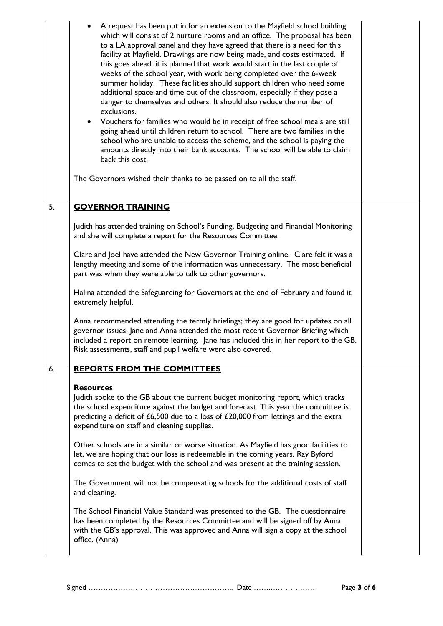|                                                                                                          | A request has been put in for an extension to the Mayfield school building<br>which will consist of 2 nurture rooms and an office. The proposal has been<br>to a LA approval panel and they have agreed that there is a need for this<br>facility at Mayfield. Drawings are now being made, and costs estimated. If<br>this goes ahead, it is planned that work would start in the last couple of<br>weeks of the school year, with work being completed over the 6-week<br>summer holiday. These facilities should support children who need some<br>additional space and time out of the classroom, especially if they pose a<br>danger to themselves and others. It should also reduce the number of<br>exclusions.<br>Vouchers for families who would be in receipt of free school meals are still<br>going ahead until children return to school. There are two families in the<br>school who are unable to access the scheme, and the school is paying the<br>amounts directly into their bank accounts. The school will be able to claim<br>back this cost. |  |
|----------------------------------------------------------------------------------------------------------|--------------------------------------------------------------------------------------------------------------------------------------------------------------------------------------------------------------------------------------------------------------------------------------------------------------------------------------------------------------------------------------------------------------------------------------------------------------------------------------------------------------------------------------------------------------------------------------------------------------------------------------------------------------------------------------------------------------------------------------------------------------------------------------------------------------------------------------------------------------------------------------------------------------------------------------------------------------------------------------------------------------------------------------------------------------------|--|
|                                                                                                          | The Governors wished their thanks to be passed on to all the staff.                                                                                                                                                                                                                                                                                                                                                                                                                                                                                                                                                                                                                                                                                                                                                                                                                                                                                                                                                                                                |  |
| 5.                                                                                                       | <b>GOVERNOR TRAINING</b>                                                                                                                                                                                                                                                                                                                                                                                                                                                                                                                                                                                                                                                                                                                                                                                                                                                                                                                                                                                                                                           |  |
|                                                                                                          | Judith has attended training on School's Funding, Budgeting and Financial Monitoring<br>and she will complete a report for the Resources Committee.                                                                                                                                                                                                                                                                                                                                                                                                                                                                                                                                                                                                                                                                                                                                                                                                                                                                                                                |  |
|                                                                                                          |                                                                                                                                                                                                                                                                                                                                                                                                                                                                                                                                                                                                                                                                                                                                                                                                                                                                                                                                                                                                                                                                    |  |
| Halina attended the Safeguarding for Governors at the end of February and found it<br>extremely helpful. |                                                                                                                                                                                                                                                                                                                                                                                                                                                                                                                                                                                                                                                                                                                                                                                                                                                                                                                                                                                                                                                                    |  |
|                                                                                                          | Anna recommended attending the termly briefings; they are good for updates on all<br>governor issues. Jane and Anna attended the most recent Governor Briefing which<br>included a report on remote learning. Jane has included this in her report to the GB.<br>Risk assessments, staff and pupil welfare were also covered.                                                                                                                                                                                                                                                                                                                                                                                                                                                                                                                                                                                                                                                                                                                                      |  |
| 6.                                                                                                       | <b>REPORTS FROM THE COMMITTEES</b>                                                                                                                                                                                                                                                                                                                                                                                                                                                                                                                                                                                                                                                                                                                                                                                                                                                                                                                                                                                                                                 |  |
|                                                                                                          | <b>Resources</b><br>Judith spoke to the GB about the current budget monitoring report, which tracks<br>the school expenditure against the budget and forecast. This year the committee is<br>predicting a deficit of £6,500 due to a loss of £20,000 from lettings and the extra<br>expenditure on staff and cleaning supplies.                                                                                                                                                                                                                                                                                                                                                                                                                                                                                                                                                                                                                                                                                                                                    |  |
|                                                                                                          | Other schools are in a similar or worse situation. As Mayfield has good facilities to<br>let, we are hoping that our loss is redeemable in the coming years. Ray Byford<br>comes to set the budget with the school and was present at the training session.                                                                                                                                                                                                                                                                                                                                                                                                                                                                                                                                                                                                                                                                                                                                                                                                        |  |
|                                                                                                          | The Government will not be compensating schools for the additional costs of staff<br>and cleaning.                                                                                                                                                                                                                                                                                                                                                                                                                                                                                                                                                                                                                                                                                                                                                                                                                                                                                                                                                                 |  |
|                                                                                                          | The School Financial Value Standard was presented to the GB. The questionnaire<br>has been completed by the Resources Committee and will be signed off by Anna<br>with the GB's approval. This was approved and Anna will sign a copy at the school<br>office. (Anna)                                                                                                                                                                                                                                                                                                                                                                                                                                                                                                                                                                                                                                                                                                                                                                                              |  |
|                                                                                                          |                                                                                                                                                                                                                                                                                                                                                                                                                                                                                                                                                                                                                                                                                                                                                                                                                                                                                                                                                                                                                                                                    |  |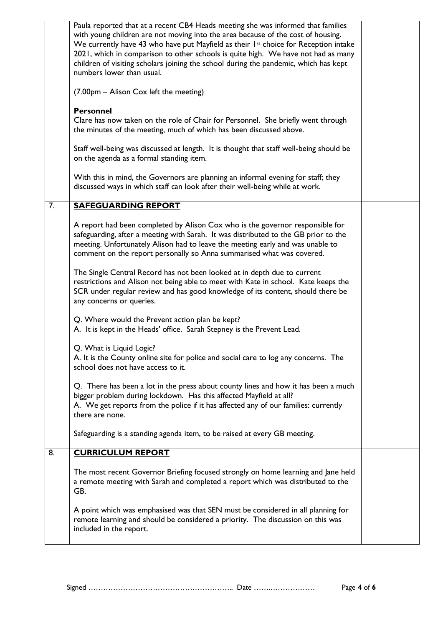|    | Paula reported that at a recent CB4 Heads meeting she was informed that families<br>with young children are not moving into the area because of the cost of housing.<br>We currently have 43 who have put Mayfield as their 1st choice for Reception intake<br>2021, which in comparison to other schools is quite high. We have not had as many<br>children of visiting scholars joining the school during the pandemic, which has kept<br>numbers lower than usual. |  |
|----|-----------------------------------------------------------------------------------------------------------------------------------------------------------------------------------------------------------------------------------------------------------------------------------------------------------------------------------------------------------------------------------------------------------------------------------------------------------------------|--|
|    | (7.00pm - Alison Cox left the meeting)                                                                                                                                                                                                                                                                                                                                                                                                                                |  |
|    | <b>Personnel</b><br>Clare has now taken on the role of Chair for Personnel. She briefly went through<br>the minutes of the meeting, much of which has been discussed above.                                                                                                                                                                                                                                                                                           |  |
|    | Staff well-being was discussed at length. It is thought that staff well-being should be<br>on the agenda as a formal standing item.                                                                                                                                                                                                                                                                                                                                   |  |
|    | With this in mind, the Governors are planning an informal evening for staff; they<br>discussed ways in which staff can look after their well-being while at work.                                                                                                                                                                                                                                                                                                     |  |
| 7. | <b>SAFEGUARDING REPORT</b>                                                                                                                                                                                                                                                                                                                                                                                                                                            |  |
|    | A report had been completed by Alison Cox who is the governor responsible for<br>safeguarding, after a meeting with Sarah. It was distributed to the GB prior to the<br>meeting. Unfortunately Alison had to leave the meeting early and was unable to<br>comment on the report personally so Anna summarised what was covered.                                                                                                                                       |  |
|    | The Single Central Record has not been looked at in depth due to current<br>restrictions and Alison not being able to meet with Kate in school. Kate keeps the<br>SCR under regular review and has good knowledge of its content, should there be<br>any concerns or queries.                                                                                                                                                                                         |  |
|    | Q. Where would the Prevent action plan be kept?<br>A. It is kept in the Heads' office. Sarah Stepney is the Prevent Lead.                                                                                                                                                                                                                                                                                                                                             |  |
|    | Q. What is Liquid Logic?<br>A. It is the County online site for police and social care to log any concerns. The<br>school does not have access to it.                                                                                                                                                                                                                                                                                                                 |  |
|    | Q. There has been a lot in the press about county lines and how it has been a much<br>bigger problem during lockdown. Has this affected Mayfield at all?<br>A. We get reports from the police if it has affected any of our families: currently<br>there are none.                                                                                                                                                                                                    |  |
|    | Safeguarding is a standing agenda item, to be raised at every GB meeting.                                                                                                                                                                                                                                                                                                                                                                                             |  |
| 8. | <b>CURRICULUM REPORT</b>                                                                                                                                                                                                                                                                                                                                                                                                                                              |  |
|    | The most recent Governor Briefing focused strongly on home learning and Jane held<br>a remote meeting with Sarah and completed a report which was distributed to the<br>GB.                                                                                                                                                                                                                                                                                           |  |
|    | A point which was emphasised was that SEN must be considered in all planning for<br>remote learning and should be considered a priority. The discussion on this was<br>included in the report.                                                                                                                                                                                                                                                                        |  |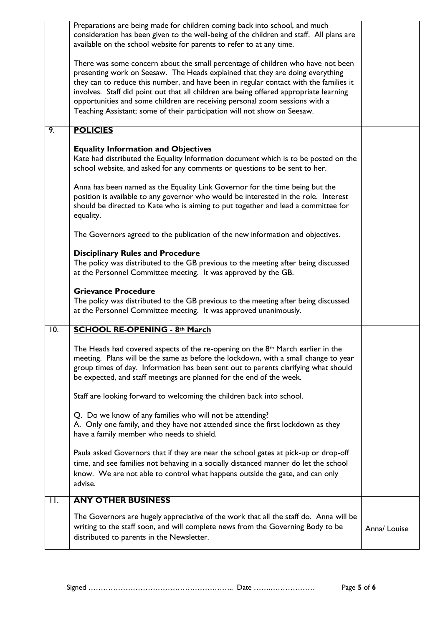|    |         | Preparations are being made for children coming back into school, and much<br>consideration has been given to the well-being of the children and staff. All plans are<br>available on the school website for parents to refer to at any time.                                                                                                                                                                                                                                                                  |              |
|----|---------|----------------------------------------------------------------------------------------------------------------------------------------------------------------------------------------------------------------------------------------------------------------------------------------------------------------------------------------------------------------------------------------------------------------------------------------------------------------------------------------------------------------|--------------|
|    |         | There was some concern about the small percentage of children who have not been<br>presenting work on Seesaw. The Heads explained that they are doing everything<br>they can to reduce this number, and have been in regular contact with the families it<br>involves. Staff did point out that all children are being offered appropriate learning<br>opportunities and some children are receiving personal zoom sessions with a<br>Teaching Assistant; some of their participation will not show on Seesaw. |              |
| 9. |         | <b>POLICIES</b>                                                                                                                                                                                                                                                                                                                                                                                                                                                                                                |              |
|    |         | <b>Equality Information and Objectives</b><br>Kate had distributed the Equality Information document which is to be posted on the<br>school website, and asked for any comments or questions to be sent to her.                                                                                                                                                                                                                                                                                                |              |
|    |         | Anna has been named as the Equality Link Governor for the time being but the<br>position is available to any governor who would be interested in the role. Interest<br>should be directed to Kate who is aiming to put together and lead a committee for<br>equality.                                                                                                                                                                                                                                          |              |
|    |         | The Governors agreed to the publication of the new information and objectives.                                                                                                                                                                                                                                                                                                                                                                                                                                 |              |
|    |         | <b>Disciplinary Rules and Procedure</b><br>The policy was distributed to the GB previous to the meeting after being discussed<br>at the Personnel Committee meeting. It was approved by the GB.                                                                                                                                                                                                                                                                                                                |              |
|    |         | <b>Grievance Procedure</b><br>The policy was distributed to the GB previous to the meeting after being discussed<br>at the Personnel Committee meeting. It was approved unanimously.                                                                                                                                                                                                                                                                                                                           |              |
|    | 10.     | <b>SCHOOL RE-OPENING - 8th March</b>                                                                                                                                                                                                                                                                                                                                                                                                                                                                           |              |
|    |         | The Heads had covered aspects of the re-opening on the 8 <sup>th</sup> March earlier in the<br>meeting. Plans will be the same as before the lockdown, with a small change to year<br>group times of day. Information has been sent out to parents clarifying what should<br>be expected, and staff meetings are planned for the end of the week.                                                                                                                                                              |              |
|    |         | Staff are looking forward to welcoming the children back into school.                                                                                                                                                                                                                                                                                                                                                                                                                                          |              |
|    |         | Q. Do we know of any families who will not be attending?<br>A. Only one family, and they have not attended since the first lockdown as they<br>have a family member who needs to shield.                                                                                                                                                                                                                                                                                                                       |              |
|    |         | Paula asked Governors that if they are near the school gates at pick-up or drop-off<br>time, and see families not behaving in a socially distanced manner do let the school<br>know. We are not able to control what happens outside the gate, and can only<br>advise.                                                                                                                                                                                                                                         |              |
|    | $\Pi$ . | <b>ANY OTHER BUSINESS</b>                                                                                                                                                                                                                                                                                                                                                                                                                                                                                      |              |
|    |         | The Governors are hugely appreciative of the work that all the staff do. Anna will be<br>writing to the staff soon, and will complete news from the Governing Body to be<br>distributed to parents in the Newsletter.                                                                                                                                                                                                                                                                                          | Anna/ Louise |